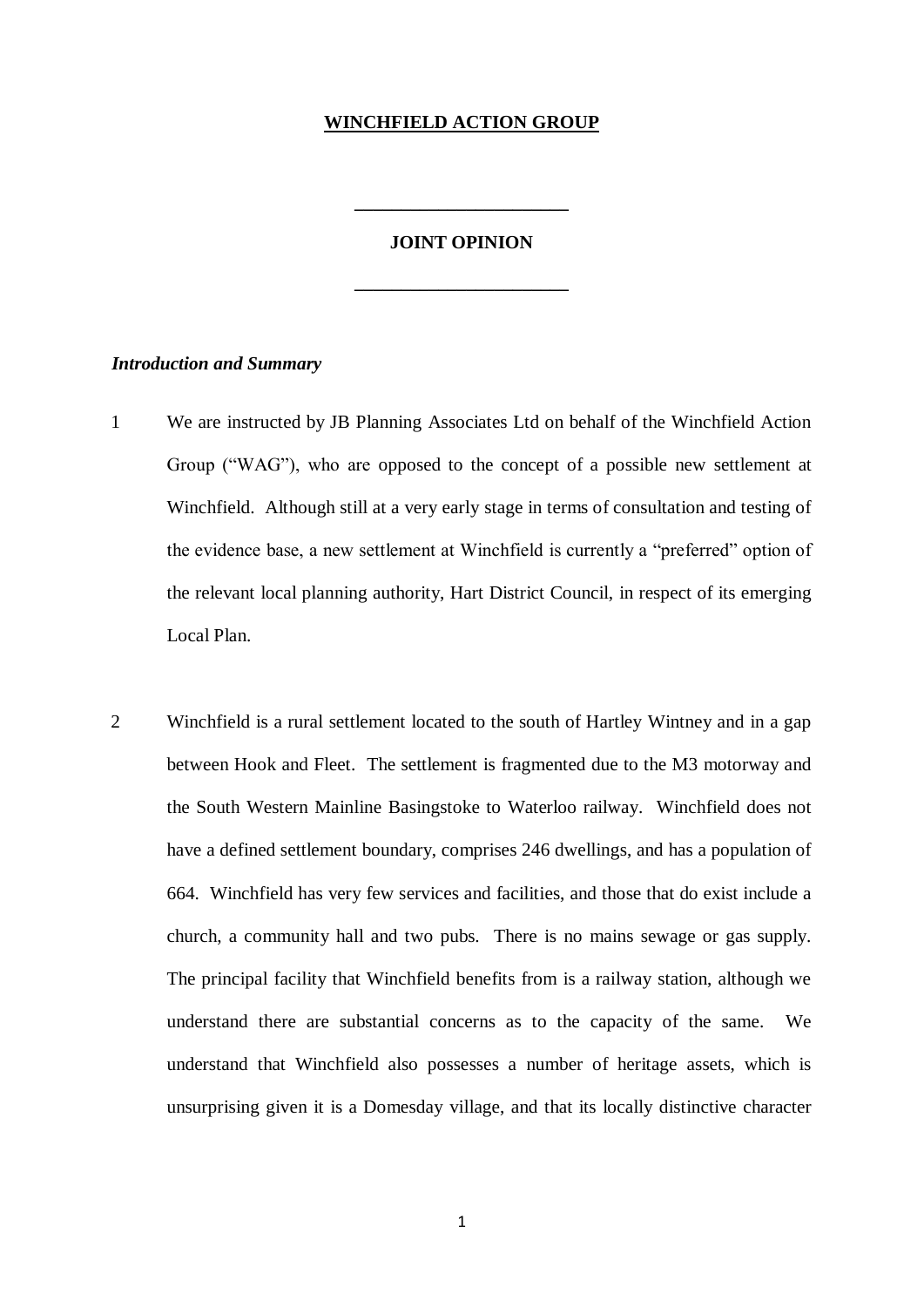## **WINCHFIELD ACTION GROUP**

#### **JOINT OPINION**

**\_\_\_\_\_\_\_\_\_\_\_\_\_\_\_\_\_\_\_\_\_\_\_**

**\_\_\_\_\_\_\_\_\_\_\_\_\_\_\_\_\_\_\_\_\_\_\_**

#### *Introduction and Summary*

- 1 We are instructed by JB Planning Associates Ltd on behalf of the Winchfield Action Group ("WAG"), who are opposed to the concept of a possible new settlement at Winchfield. Although still at a very early stage in terms of consultation and testing of the evidence base, a new settlement at Winchfield is currently a "preferred" option of the relevant local planning authority, Hart District Council, in respect of its emerging Local Plan.
- 2 Winchfield is a rural settlement located to the south of Hartley Wintney and in a gap between Hook and Fleet. The settlement is fragmented due to the M3 motorway and the South Western Mainline Basingstoke to Waterloo railway. Winchfield does not have a defined settlement boundary, comprises 246 dwellings, and has a population of 664. Winchfield has very few services and facilities, and those that do exist include a church, a community hall and two pubs. There is no mains sewage or gas supply. The principal facility that Winchfield benefits from is a railway station, although we understand there are substantial concerns as to the capacity of the same. We understand that Winchfield also possesses a number of heritage assets, which is unsurprising given it is a Domesday village, and that its locally distinctive character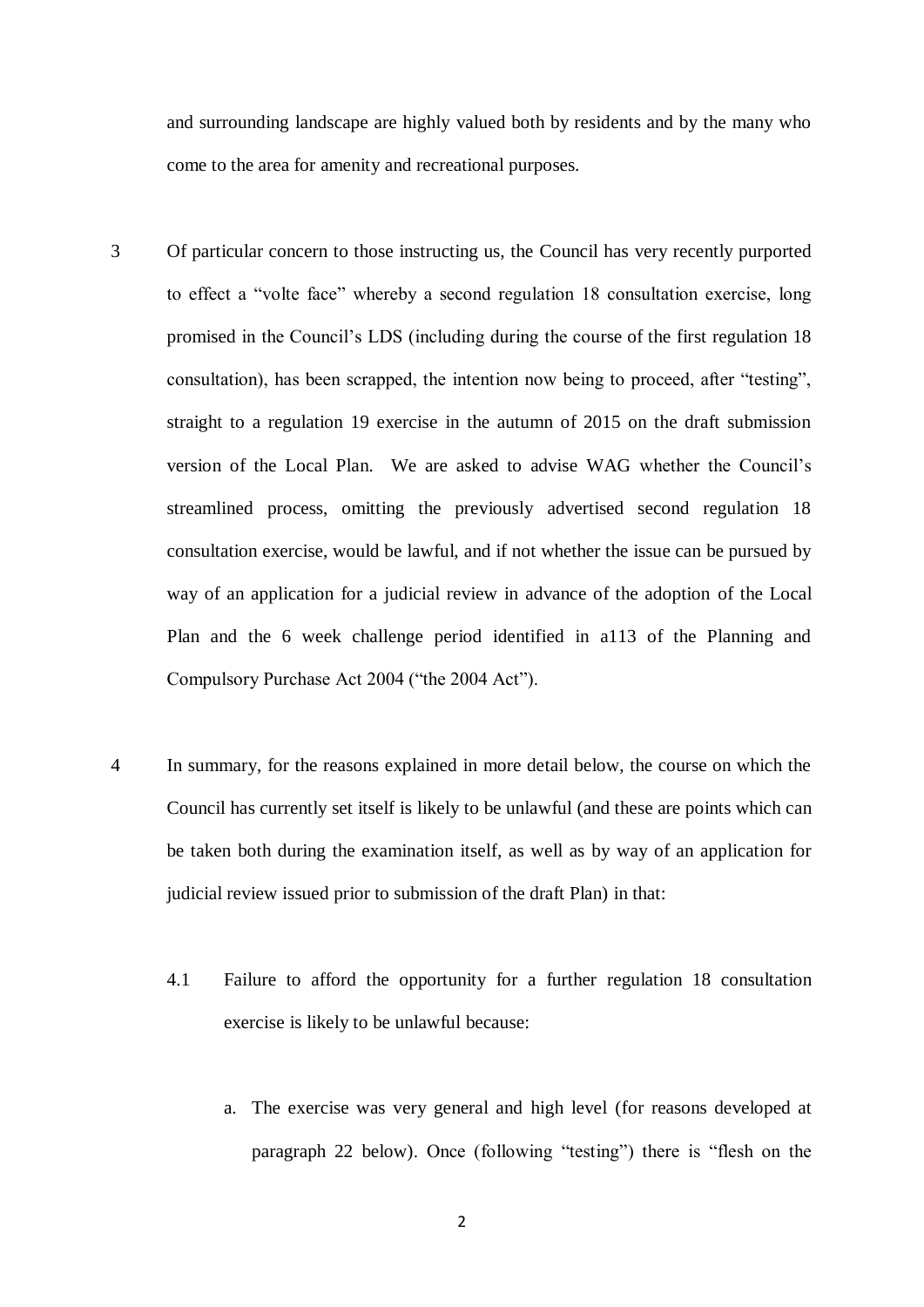and surrounding landscape are highly valued both by residents and by the many who come to the area for amenity and recreational purposes.

- 3 Of particular concern to those instructing us, the Council has very recently purported to effect a "volte face" whereby a second regulation 18 consultation exercise, long promised in the Council's LDS (including during the course of the first regulation 18 consultation), has been scrapped, the intention now being to proceed, after "testing", straight to a regulation 19 exercise in the autumn of 2015 on the draft submission version of the Local Plan. We are asked to advise WAG whether the Council's streamlined process, omitting the previously advertised second regulation 18 consultation exercise, would be lawful, and if not whether the issue can be pursued by way of an application for a judicial review in advance of the adoption of the Local Plan and the 6 week challenge period identified in a113 of the Planning and Compulsory Purchase Act 2004 ("the 2004 Act").
- 4 In summary, for the reasons explained in more detail below, the course on which the Council has currently set itself is likely to be unlawful (and these are points which can be taken both during the examination itself, as well as by way of an application for judicial review issued prior to submission of the draft Plan) in that:
	- 4.1 Failure to afford the opportunity for a further regulation 18 consultation exercise is likely to be unlawful because:
		- a. The exercise was very general and high level (for reasons developed at paragraph 22 below). Once (following "testing") there is "flesh on the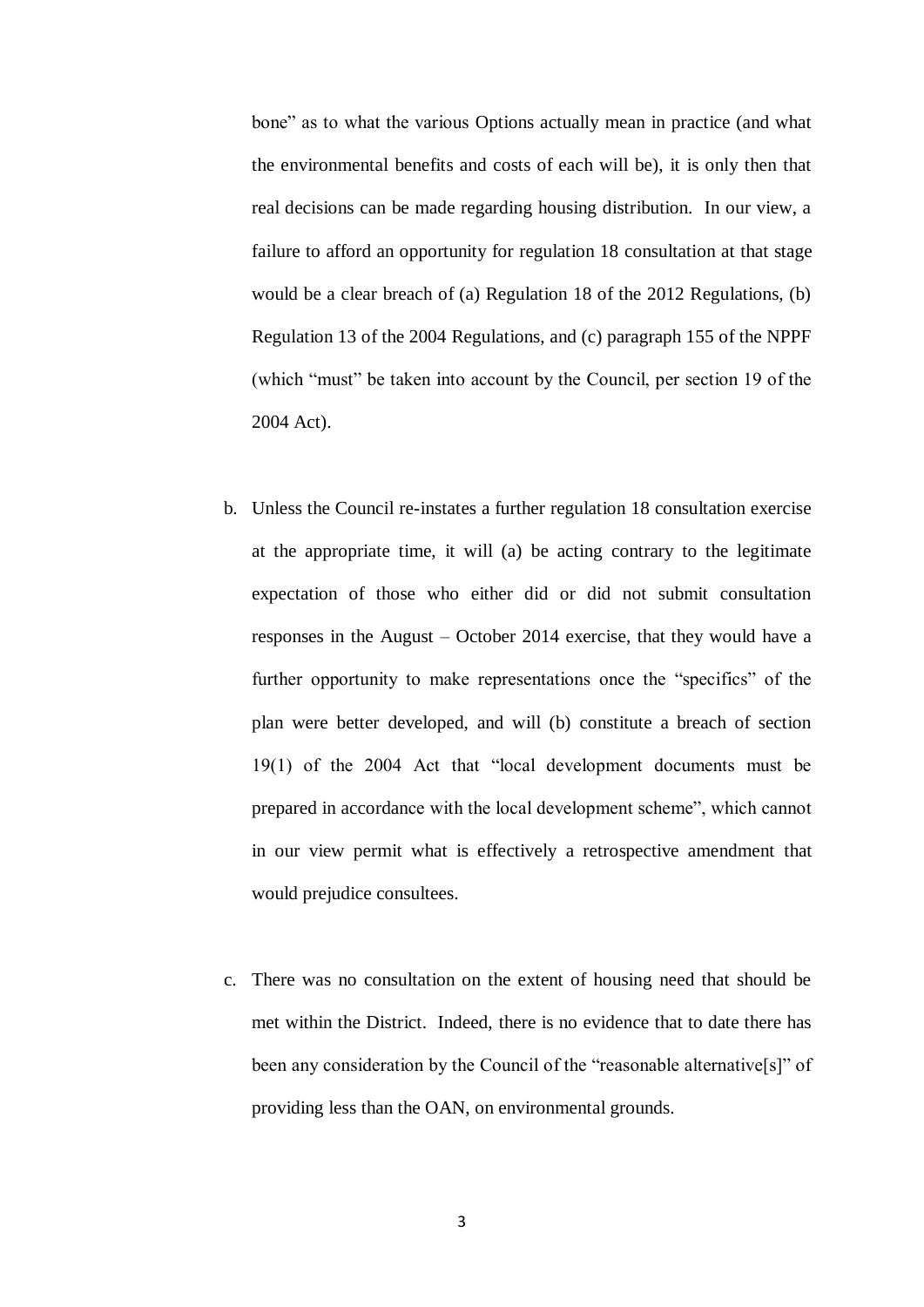bone" as to what the various Options actually mean in practice (and what the environmental benefits and costs of each will be), it is only then that real decisions can be made regarding housing distribution. In our view, a failure to afford an opportunity for regulation 18 consultation at that stage would be a clear breach of (a) Regulation 18 of the 2012 Regulations, (b) Regulation 13 of the 2004 Regulations, and (c) paragraph 155 of the NPPF (which "must" be taken into account by the Council, per section 19 of the 2004 Act).

- b. Unless the Council re-instates a further regulation 18 consultation exercise at the appropriate time, it will (a) be acting contrary to the legitimate expectation of those who either did or did not submit consultation responses in the August – October 2014 exercise, that they would have a further opportunity to make representations once the "specifics" of the plan were better developed, and will (b) constitute a breach of section 19(1) of the 2004 Act that "local development documents must be prepared in accordance with the local development scheme", which cannot in our view permit what is effectively a retrospective amendment that would prejudice consultees.
- c. There was no consultation on the extent of housing need that should be met within the District. Indeed, there is no evidence that to date there has been any consideration by the Council of the "reasonable alternative<sup>[s]"</sup> of providing less than the OAN, on environmental grounds.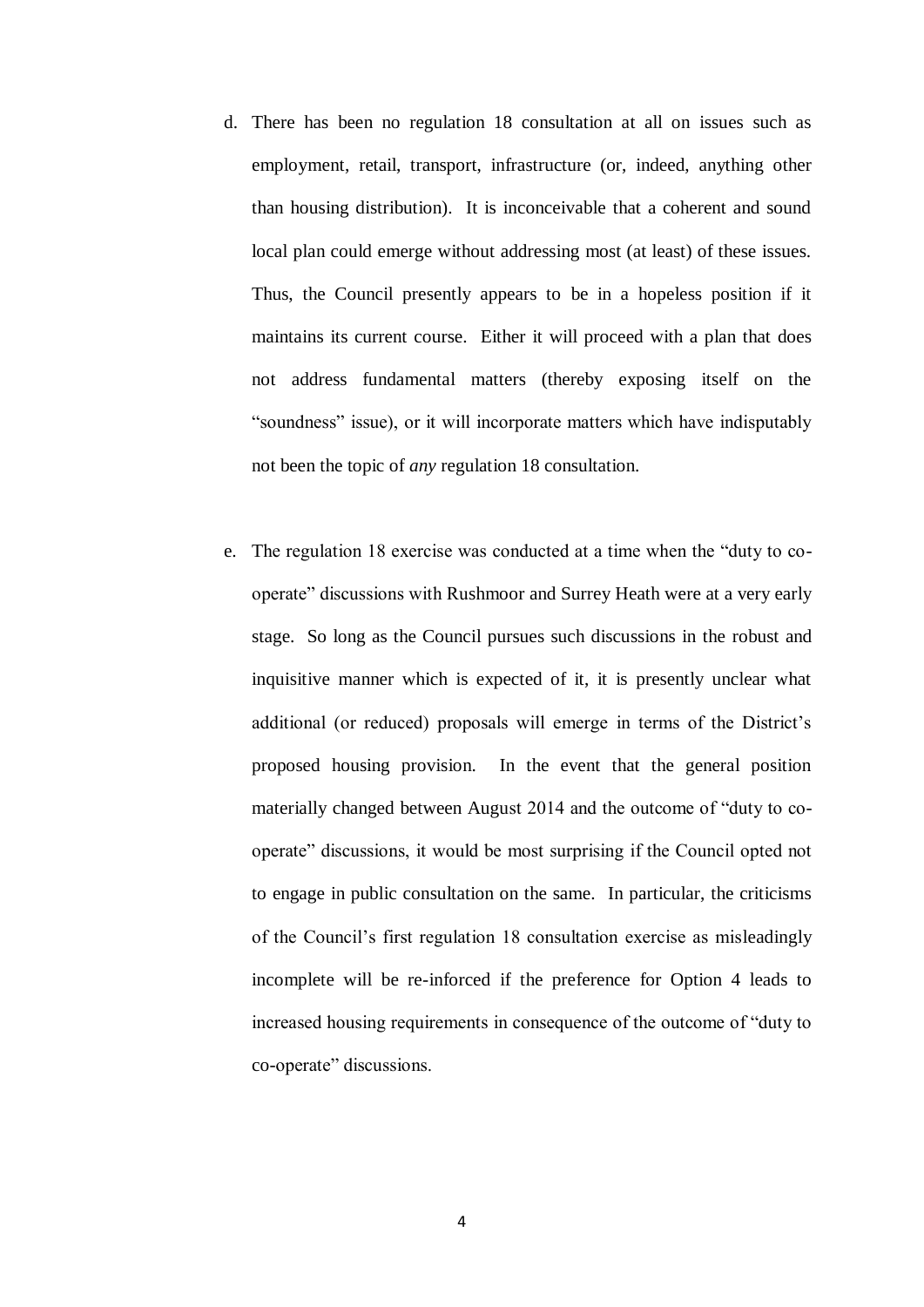- d. There has been no regulation 18 consultation at all on issues such as employment, retail, transport, infrastructure (or, indeed, anything other than housing distribution). It is inconceivable that a coherent and sound local plan could emerge without addressing most (at least) of these issues. Thus, the Council presently appears to be in a hopeless position if it maintains its current course. Either it will proceed with a plan that does not address fundamental matters (thereby exposing itself on the "soundness" issue), or it will incorporate matters which have indisputably not been the topic of *any* regulation 18 consultation.
- e. The regulation 18 exercise was conducted at a time when the "duty to cooperate" discussions with Rushmoor and Surrey Heath were at a very early stage. So long as the Council pursues such discussions in the robust and inquisitive manner which is expected of it, it is presently unclear what additional (or reduced) proposals will emerge in terms of the District's proposed housing provision. In the event that the general position materially changed between August 2014 and the outcome of "duty to cooperate" discussions, it would be most surprising if the Council opted not to engage in public consultation on the same. In particular, the criticisms of the Council's first regulation 18 consultation exercise as misleadingly incomplete will be re-inforced if the preference for Option 4 leads to increased housing requirements in consequence of the outcome of "duty to co-operate" discussions.

4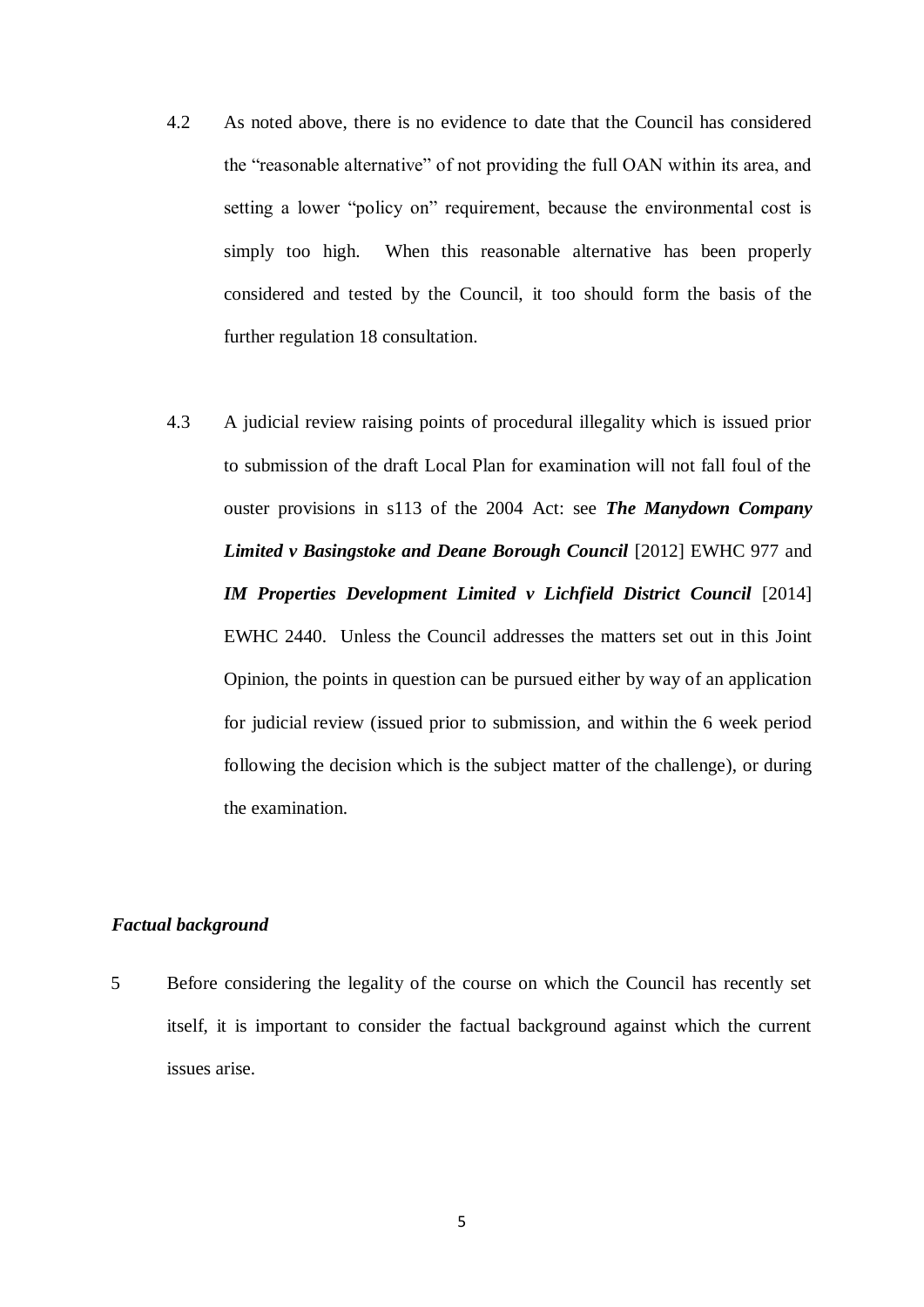- 4.2 As noted above, there is no evidence to date that the Council has considered the "reasonable alternative" of not providing the full OAN within its area, and setting a lower "policy on" requirement, because the environmental cost is simply too high. When this reasonable alternative has been properly considered and tested by the Council, it too should form the basis of the further regulation 18 consultation.
- 4.3 A judicial review raising points of procedural illegality which is issued prior to submission of the draft Local Plan for examination will not fall foul of the ouster provisions in s113 of the 2004 Act: see *The Manydown Company Limited v Basingstoke and Deane Borough Council* [2012] EWHC 977 and *IM Properties Development Limited v Lichfield District Council* [2014] EWHC 2440. Unless the Council addresses the matters set out in this Joint Opinion, the points in question can be pursued either by way of an application for judicial review (issued prior to submission, and within the 6 week period following the decision which is the subject matter of the challenge), or during the examination.

## *Factual background*

5 Before considering the legality of the course on which the Council has recently set itself, it is important to consider the factual background against which the current issues arise.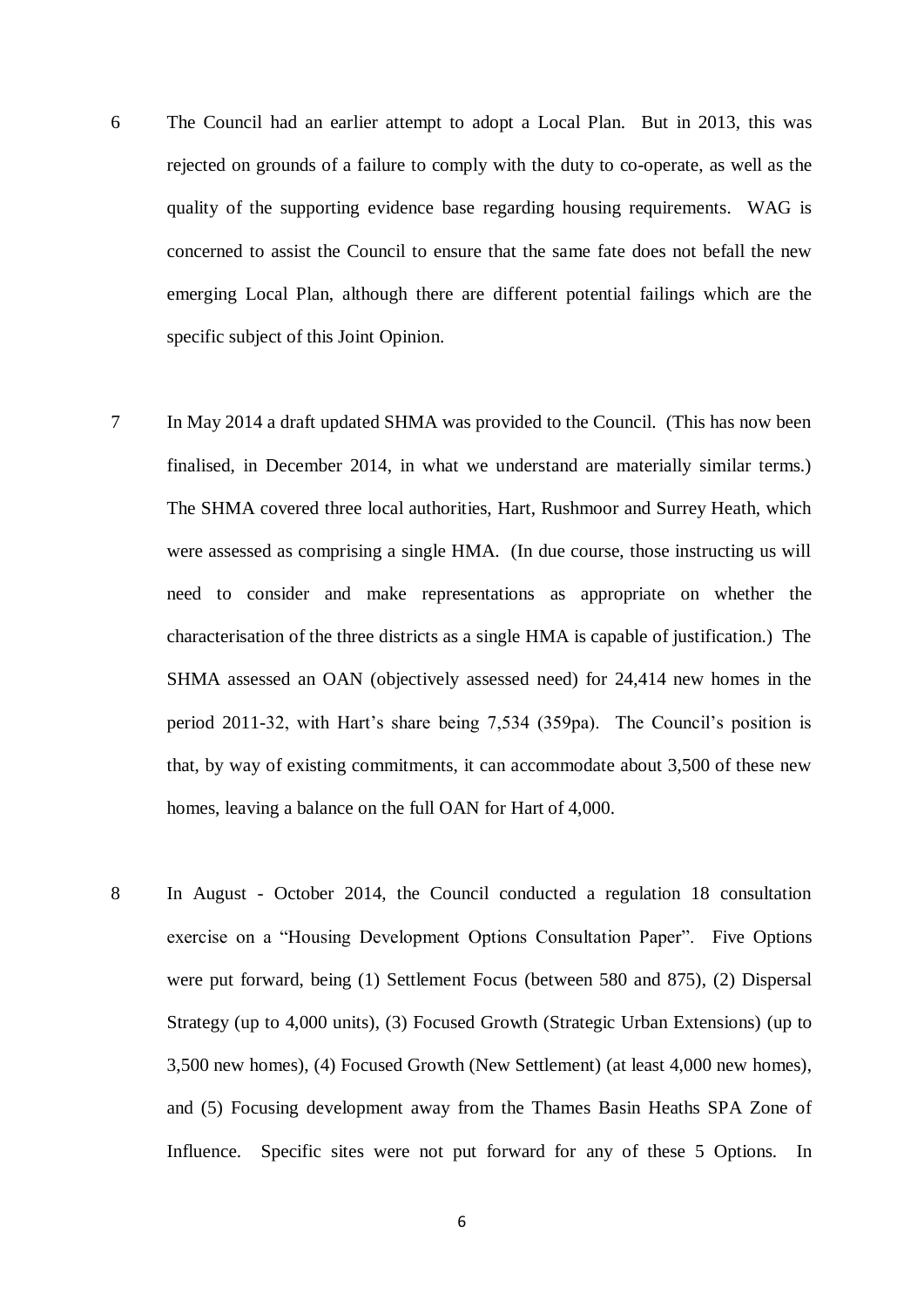- 6 The Council had an earlier attempt to adopt a Local Plan. But in 2013, this was rejected on grounds of a failure to comply with the duty to co-operate, as well as the quality of the supporting evidence base regarding housing requirements. WAG is concerned to assist the Council to ensure that the same fate does not befall the new emerging Local Plan, although there are different potential failings which are the specific subject of this Joint Opinion.
- 7 In May 2014 a draft updated SHMA was provided to the Council. (This has now been finalised, in December 2014, in what we understand are materially similar terms.) The SHMA covered three local authorities, Hart, Rushmoor and Surrey Heath, which were assessed as comprising a single HMA. (In due course, those instructing us will need to consider and make representations as appropriate on whether the characterisation of the three districts as a single HMA is capable of justification.) The SHMA assessed an OAN (objectively assessed need) for 24,414 new homes in the period 2011-32, with Hart's share being 7,534 (359pa). The Council's position is that, by way of existing commitments, it can accommodate about 3,500 of these new homes, leaving a balance on the full OAN for Hart of 4,000.
- 8 In August October 2014, the Council conducted a regulation 18 consultation exercise on a "Housing Development Options Consultation Paper". Five Options were put forward, being (1) Settlement Focus (between 580 and 875), (2) Dispersal Strategy (up to 4,000 units), (3) Focused Growth (Strategic Urban Extensions) (up to 3,500 new homes), (4) Focused Growth (New Settlement) (at least 4,000 new homes), and (5) Focusing development away from the Thames Basin Heaths SPA Zone of Influence. Specific sites were not put forward for any of these 5 Options. In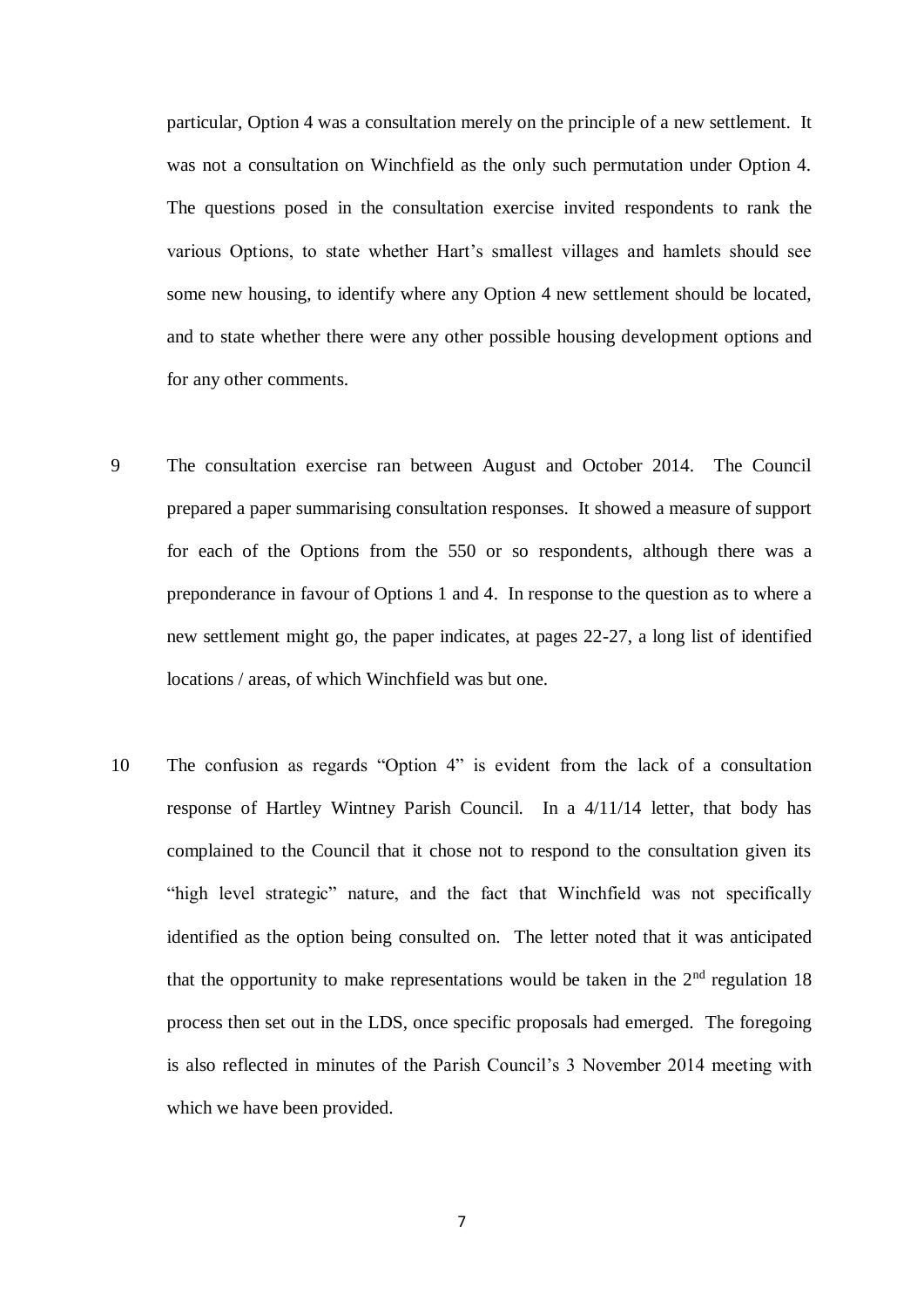particular, Option 4 was a consultation merely on the principle of a new settlement. It was not a consultation on Winchfield as the only such permutation under Option 4. The questions posed in the consultation exercise invited respondents to rank the various Options, to state whether Hart's smallest villages and hamlets should see some new housing, to identify where any Option 4 new settlement should be located, and to state whether there were any other possible housing development options and for any other comments.

- 9 The consultation exercise ran between August and October 2014. The Council prepared a paper summarising consultation responses. It showed a measure of support for each of the Options from the 550 or so respondents, although there was a preponderance in favour of Options 1 and 4. In response to the question as to where a new settlement might go, the paper indicates, at pages 22-27, a long list of identified locations / areas, of which Winchfield was but one.
- 10 The confusion as regards "Option 4" is evident from the lack of a consultation response of Hartley Wintney Parish Council. In a 4/11/14 letter, that body has complained to the Council that it chose not to respond to the consultation given its "high level strategic" nature, and the fact that Winchfield was not specifically identified as the option being consulted on. The letter noted that it was anticipated that the opportunity to make representations would be taken in the  $2<sup>nd</sup>$  regulation 18 process then set out in the LDS, once specific proposals had emerged. The foregoing is also reflected in minutes of the Parish Council's 3 November 2014 meeting with which we have been provided.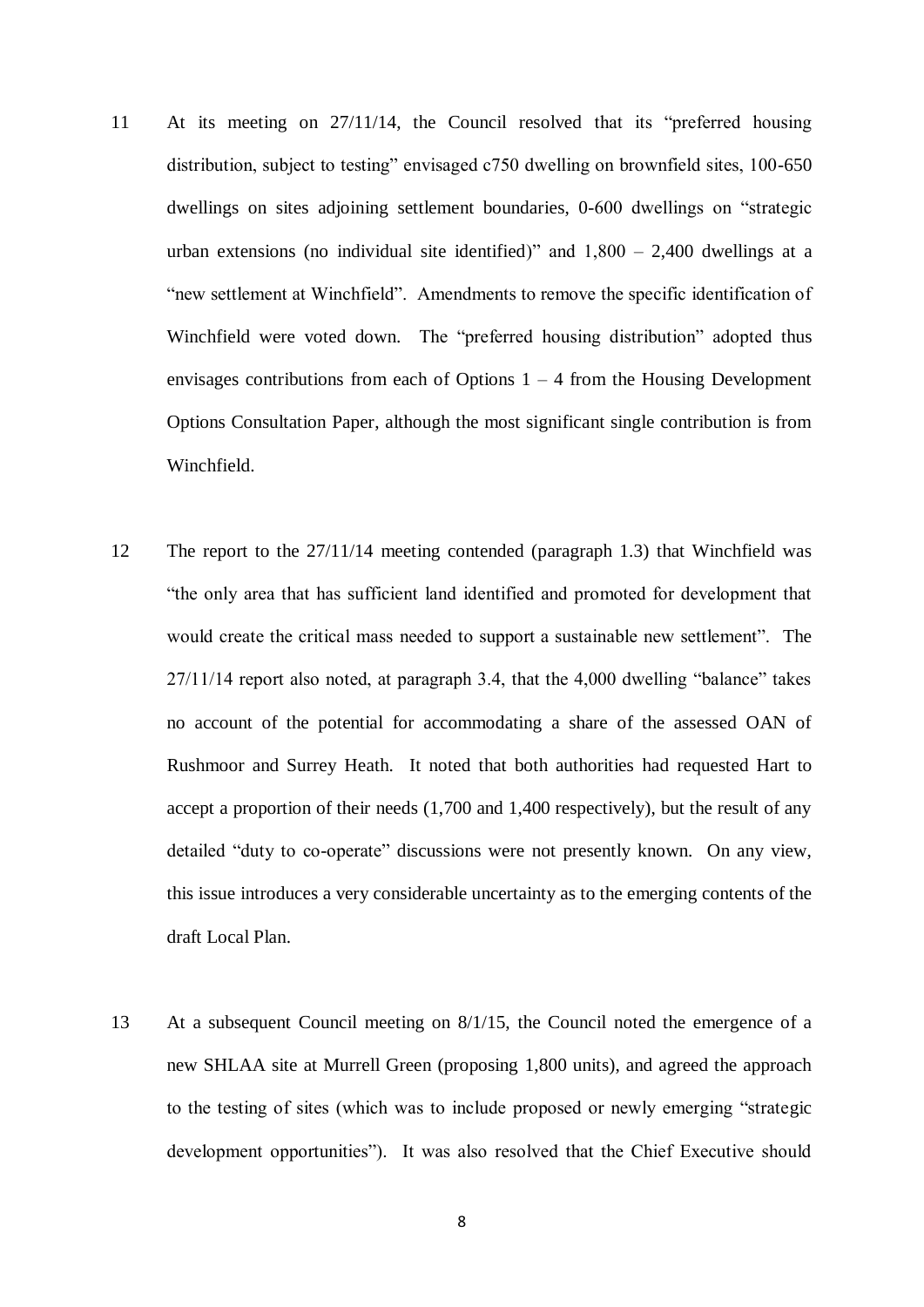- 11 At its meeting on 27/11/14, the Council resolved that its "preferred housing distribution, subject to testing" envisaged c750 dwelling on brownfield sites, 100-650 dwellings on sites adjoining settlement boundaries, 0-600 dwellings on "strategic urban extensions (no individual site identified)" and  $1,800 - 2,400$  dwellings at a "new settlement at Winchfield". Amendments to remove the specific identification of Winchfield were voted down. The "preferred housing distribution" adopted thus envisages contributions from each of Options  $1 - 4$  from the Housing Development Options Consultation Paper, although the most significant single contribution is from Winchfield.
- 12 The report to the 27/11/14 meeting contended (paragraph 1.3) that Winchfield was "the only area that has sufficient land identified and promoted for development that would create the critical mass needed to support a sustainable new settlement". The 27/11/14 report also noted, at paragraph 3.4, that the 4,000 dwelling "balance" takes no account of the potential for accommodating a share of the assessed OAN of Rushmoor and Surrey Heath. It noted that both authorities had requested Hart to accept a proportion of their needs (1,700 and 1,400 respectively), but the result of any detailed "duty to co-operate" discussions were not presently known. On any view, this issue introduces a very considerable uncertainty as to the emerging contents of the draft Local Plan.
- 13 At a subsequent Council meeting on 8/1/15, the Council noted the emergence of a new SHLAA site at Murrell Green (proposing 1,800 units), and agreed the approach to the testing of sites (which was to include proposed or newly emerging "strategic development opportunities"). It was also resolved that the Chief Executive should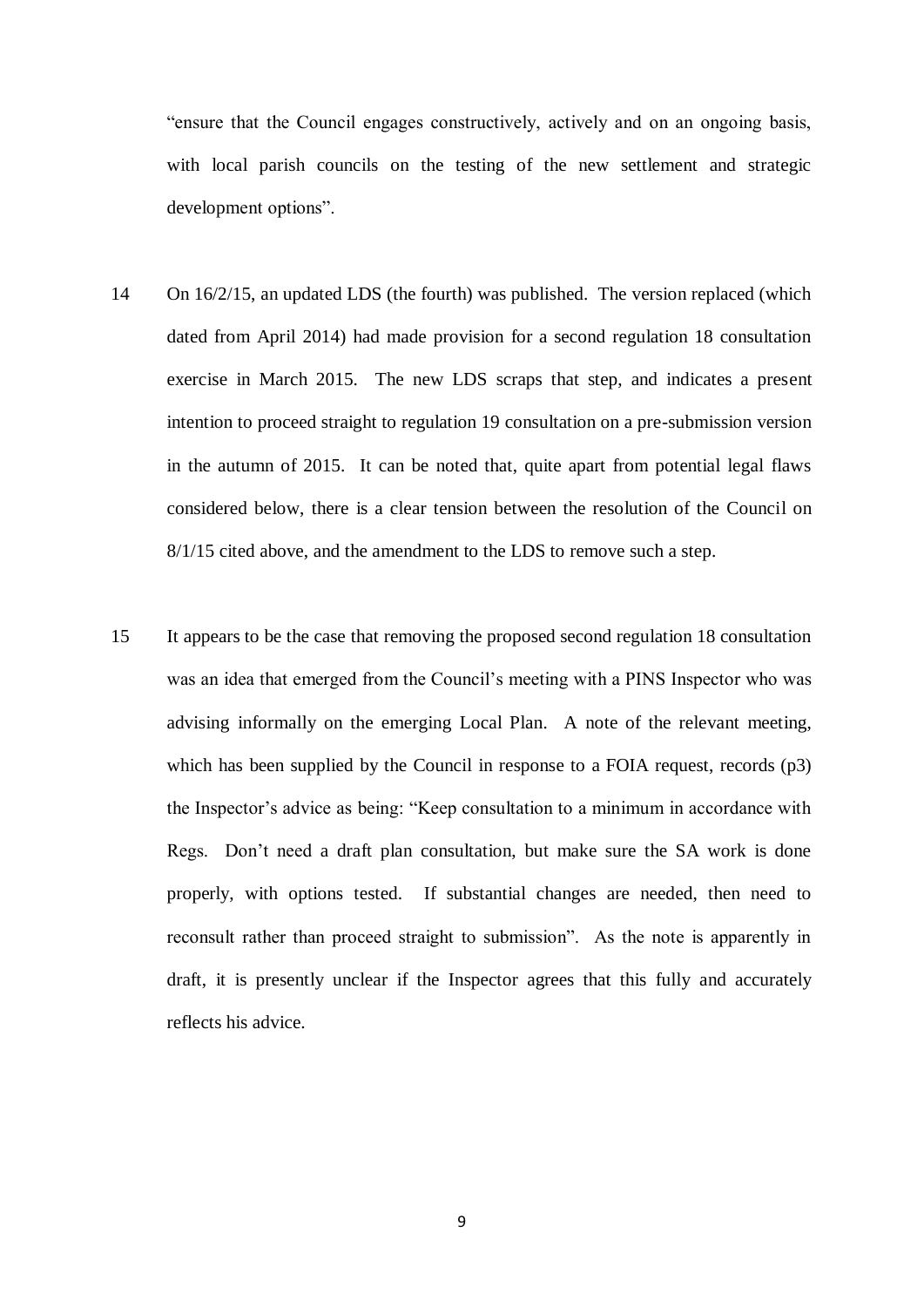"ensure that the Council engages constructively, actively and on an ongoing basis, with local parish councils on the testing of the new settlement and strategic development options".

- 14 On 16/2/15, an updated LDS (the fourth) was published. The version replaced (which dated from April 2014) had made provision for a second regulation 18 consultation exercise in March 2015. The new LDS scraps that step, and indicates a present intention to proceed straight to regulation 19 consultation on a pre-submission version in the autumn of 2015. It can be noted that, quite apart from potential legal flaws considered below, there is a clear tension between the resolution of the Council on 8/1/15 cited above, and the amendment to the LDS to remove such a step.
- 15 It appears to be the case that removing the proposed second regulation 18 consultation was an idea that emerged from the Council's meeting with a PINS Inspector who was advising informally on the emerging Local Plan. A note of the relevant meeting, which has been supplied by the Council in response to a FOIA request, records (p3) the Inspector's advice as being: "Keep consultation to a minimum in accordance with Regs. Don't need a draft plan consultation, but make sure the SA work is done properly, with options tested. If substantial changes are needed, then need to reconsult rather than proceed straight to submission". As the note is apparently in draft, it is presently unclear if the Inspector agrees that this fully and accurately reflects his advice.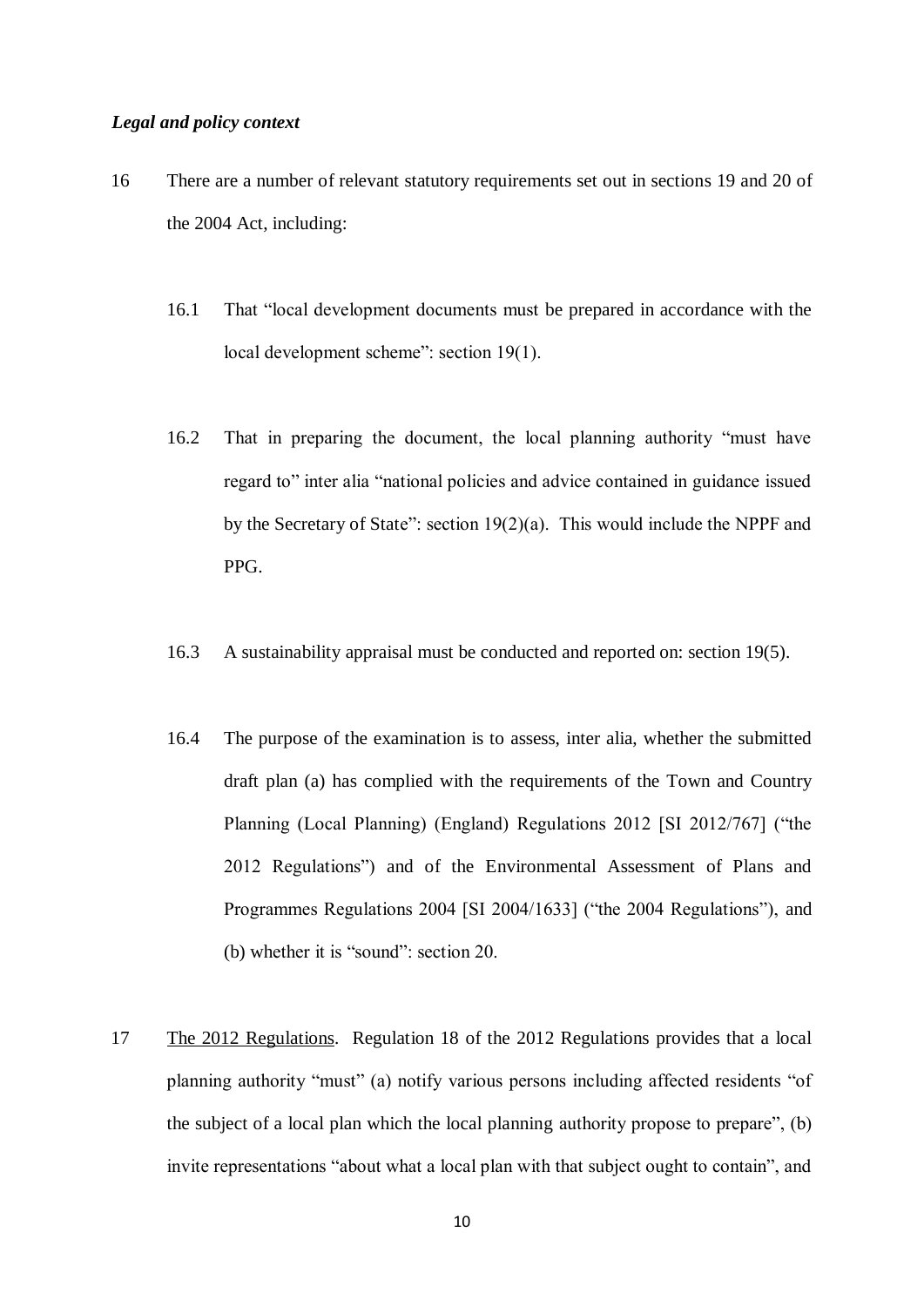#### *Legal and policy context*

- 16 There are a number of relevant statutory requirements set out in sections 19 and 20 of the 2004 Act, including:
	- 16.1 That "local development documents must be prepared in accordance with the local development scheme": section 19(1).
	- 16.2 That in preparing the document, the local planning authority "must have regard to" inter alia "national policies and advice contained in guidance issued by the Secretary of State": section 19(2)(a). This would include the NPPF and PPG.
	- 16.3 A sustainability appraisal must be conducted and reported on: section 19(5).
	- 16.4 The purpose of the examination is to assess, inter alia, whether the submitted draft plan (a) has complied with the requirements of the Town and Country Planning (Local Planning) (England) Regulations 2012 [SI 2012/767] ("the 2012 Regulations") and of the Environmental Assessment of Plans and Programmes Regulations 2004 [SI 2004/1633] ("the 2004 Regulations"), and (b) whether it is "sound": section 20.
- 17 The 2012 Regulations. Regulation 18 of the 2012 Regulations provides that a local planning authority "must" (a) notify various persons including affected residents "of the subject of a local plan which the local planning authority propose to prepare", (b) invite representations "about what a local plan with that subject ought to contain", and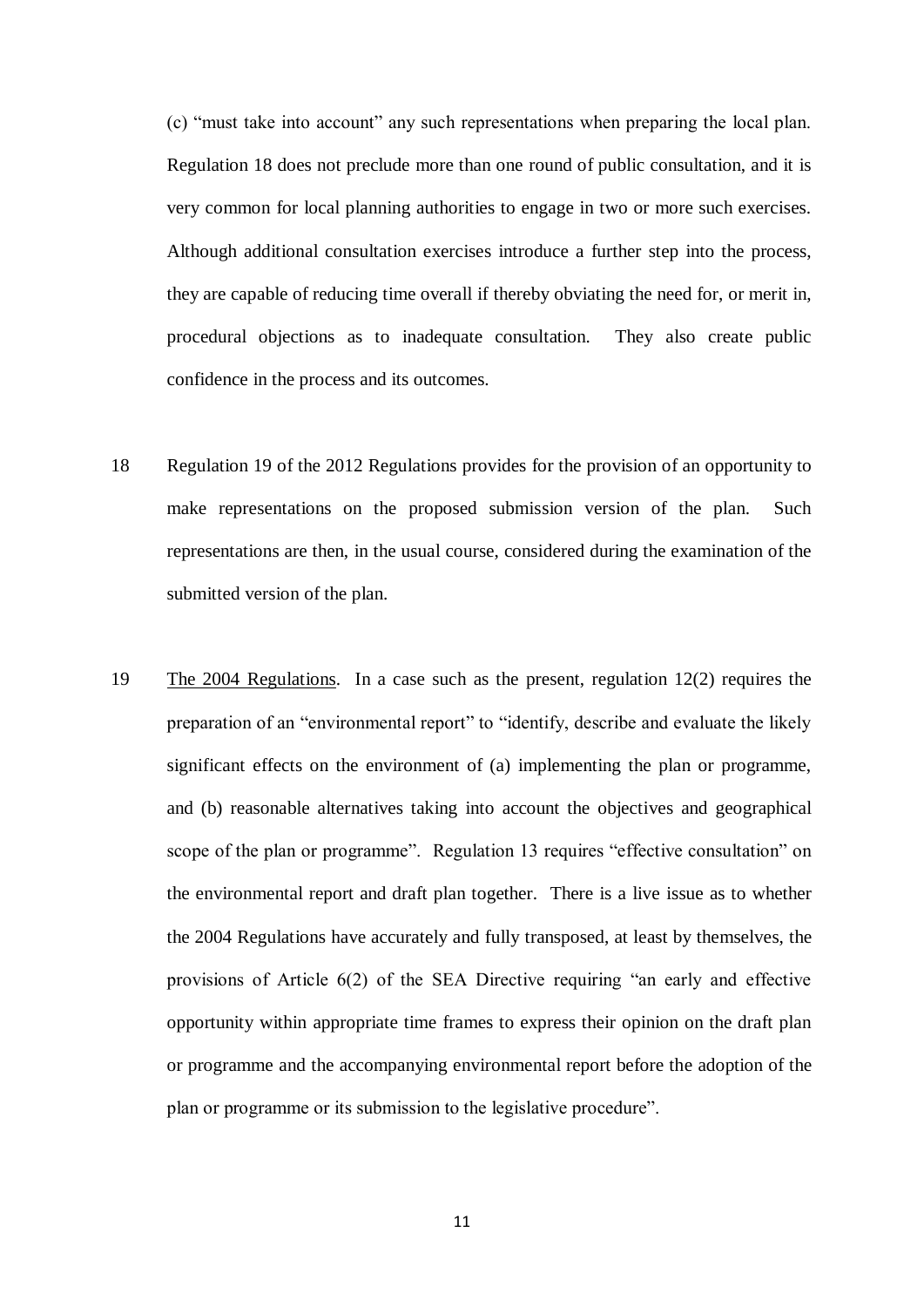(c) "must take into account" any such representations when preparing the local plan. Regulation 18 does not preclude more than one round of public consultation, and it is very common for local planning authorities to engage in two or more such exercises. Although additional consultation exercises introduce a further step into the process, they are capable of reducing time overall if thereby obviating the need for, or merit in, procedural objections as to inadequate consultation. They also create public confidence in the process and its outcomes.

- 18 Regulation 19 of the 2012 Regulations provides for the provision of an opportunity to make representations on the proposed submission version of the plan. Such representations are then, in the usual course, considered during the examination of the submitted version of the plan.
- 19 The 2004 Regulations. In a case such as the present, regulation 12(2) requires the preparation of an "environmental report" to "identify, describe and evaluate the likely significant effects on the environment of (a) implementing the plan or programme, and (b) reasonable alternatives taking into account the objectives and geographical scope of the plan or programme". Regulation 13 requires "effective consultation" on the environmental report and draft plan together. There is a live issue as to whether the 2004 Regulations have accurately and fully transposed, at least by themselves, the provisions of Article 6(2) of the SEA Directive requiring "an early and effective opportunity within appropriate time frames to express their opinion on the draft plan or programme and the accompanying environmental report before the adoption of the plan or programme or its submission to the legislative procedure".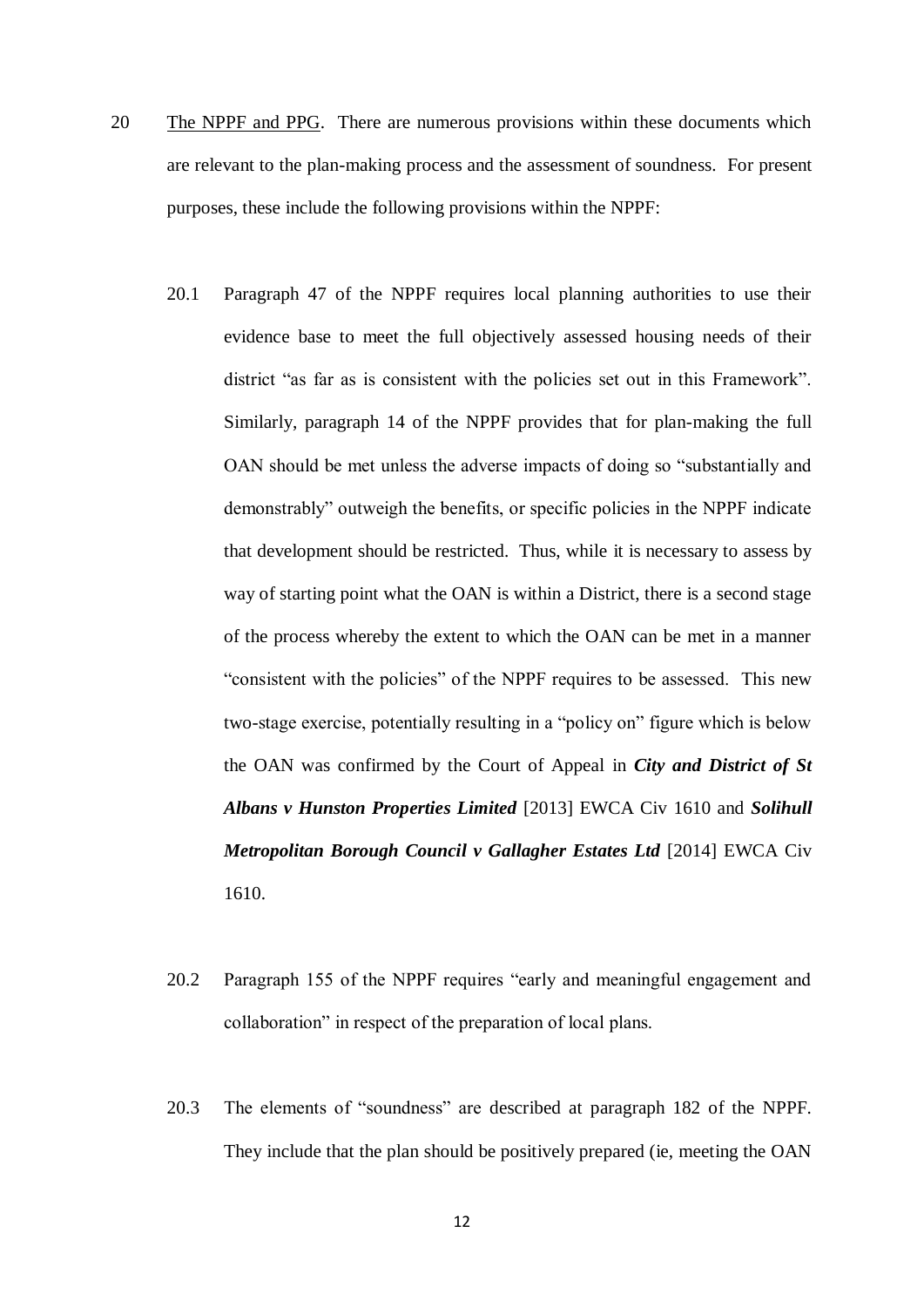- 20 The NPPF and PPG. There are numerous provisions within these documents which are relevant to the plan-making process and the assessment of soundness. For present purposes, these include the following provisions within the NPPF:
	- 20.1 Paragraph 47 of the NPPF requires local planning authorities to use their evidence base to meet the full objectively assessed housing needs of their district "as far as is consistent with the policies set out in this Framework". Similarly, paragraph 14 of the NPPF provides that for plan-making the full OAN should be met unless the adverse impacts of doing so "substantially and demonstrably" outweigh the benefits, or specific policies in the NPPF indicate that development should be restricted. Thus, while it is necessary to assess by way of starting point what the OAN is within a District, there is a second stage of the process whereby the extent to which the OAN can be met in a manner "consistent with the policies" of the NPPF requires to be assessed. This new two-stage exercise, potentially resulting in a "policy on" figure which is below the OAN was confirmed by the Court of Appeal in *City and District of St Albans v Hunston Properties Limited* [2013] EWCA Civ 1610 and *Solihull Metropolitan Borough Council v Gallagher Estates Ltd* [2014] EWCA Civ 1610.
	- 20.2 Paragraph 155 of the NPPF requires "early and meaningful engagement and collaboration" in respect of the preparation of local plans.
	- 20.3 The elements of "soundness" are described at paragraph 182 of the NPPF. They include that the plan should be positively prepared (ie, meeting the OAN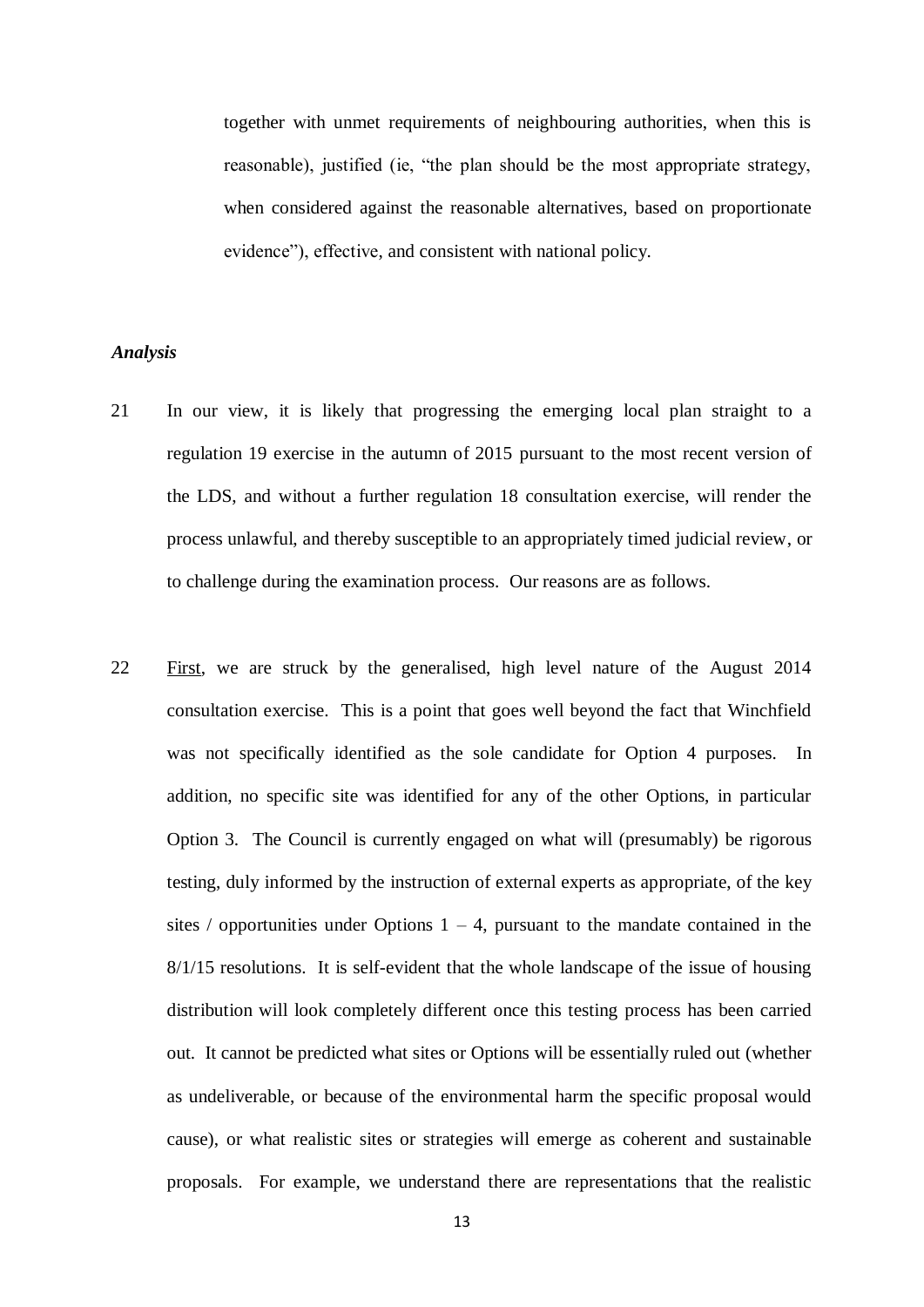together with unmet requirements of neighbouring authorities, when this is reasonable), justified (ie, "the plan should be the most appropriate strategy, when considered against the reasonable alternatives, based on proportionate evidence"), effective, and consistent with national policy.

### *Analysis*

- 21 In our view, it is likely that progressing the emerging local plan straight to a regulation 19 exercise in the autumn of 2015 pursuant to the most recent version of the LDS, and without a further regulation 18 consultation exercise, will render the process unlawful, and thereby susceptible to an appropriately timed judicial review, or to challenge during the examination process. Our reasons are as follows.
- 22 First, we are struck by the generalised, high level nature of the August 2014 consultation exercise. This is a point that goes well beyond the fact that Winchfield was not specifically identified as the sole candidate for Option 4 purposes. In addition, no specific site was identified for any of the other Options, in particular Option 3. The Council is currently engaged on what will (presumably) be rigorous testing, duly informed by the instruction of external experts as appropriate, of the key sites / opportunities under Options  $1 - 4$ , pursuant to the mandate contained in the 8/1/15 resolutions. It is self-evident that the whole landscape of the issue of housing distribution will look completely different once this testing process has been carried out. It cannot be predicted what sites or Options will be essentially ruled out (whether as undeliverable, or because of the environmental harm the specific proposal would cause), or what realistic sites or strategies will emerge as coherent and sustainable proposals. For example, we understand there are representations that the realistic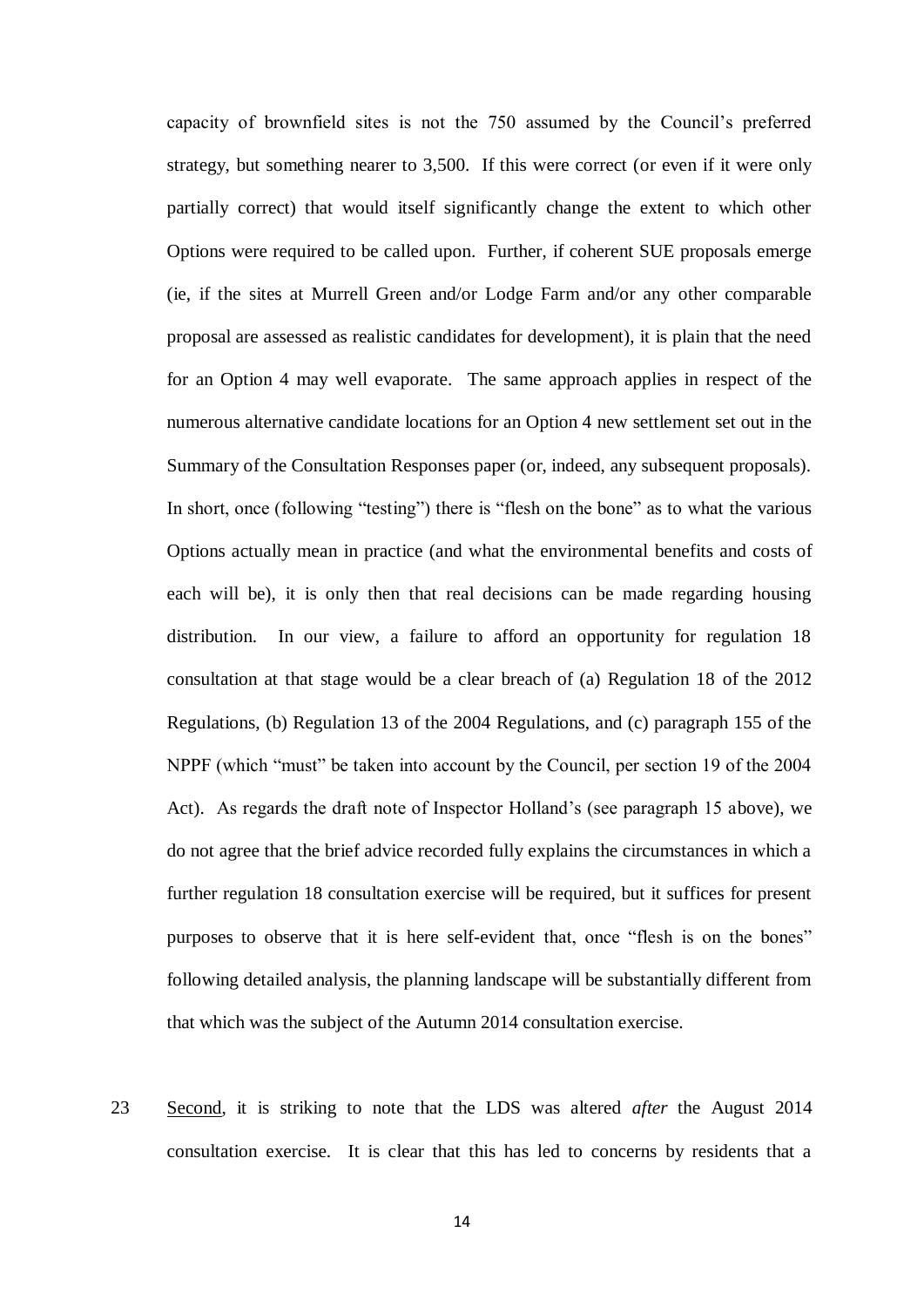capacity of brownfield sites is not the 750 assumed by the Council's preferred strategy, but something nearer to 3,500. If this were correct (or even if it were only partially correct) that would itself significantly change the extent to which other Options were required to be called upon. Further, if coherent SUE proposals emerge (ie, if the sites at Murrell Green and/or Lodge Farm and/or any other comparable proposal are assessed as realistic candidates for development), it is plain that the need for an Option 4 may well evaporate. The same approach applies in respect of the numerous alternative candidate locations for an Option 4 new settlement set out in the Summary of the Consultation Responses paper (or, indeed, any subsequent proposals). In short, once (following "testing") there is "flesh on the bone" as to what the various Options actually mean in practice (and what the environmental benefits and costs of each will be), it is only then that real decisions can be made regarding housing distribution. In our view, a failure to afford an opportunity for regulation 18 consultation at that stage would be a clear breach of (a) Regulation 18 of the 2012 Regulations, (b) Regulation 13 of the 2004 Regulations, and (c) paragraph 155 of the NPPF (which "must" be taken into account by the Council, per section 19 of the 2004 Act). As regards the draft note of Inspector Holland's (see paragraph 15 above), we do not agree that the brief advice recorded fully explains the circumstances in which a further regulation 18 consultation exercise will be required, but it suffices for present purposes to observe that it is here self-evident that, once "flesh is on the bones" following detailed analysis, the planning landscape will be substantially different from that which was the subject of the Autumn 2014 consultation exercise.

23 Second, it is striking to note that the LDS was altered *after* the August 2014 consultation exercise. It is clear that this has led to concerns by residents that a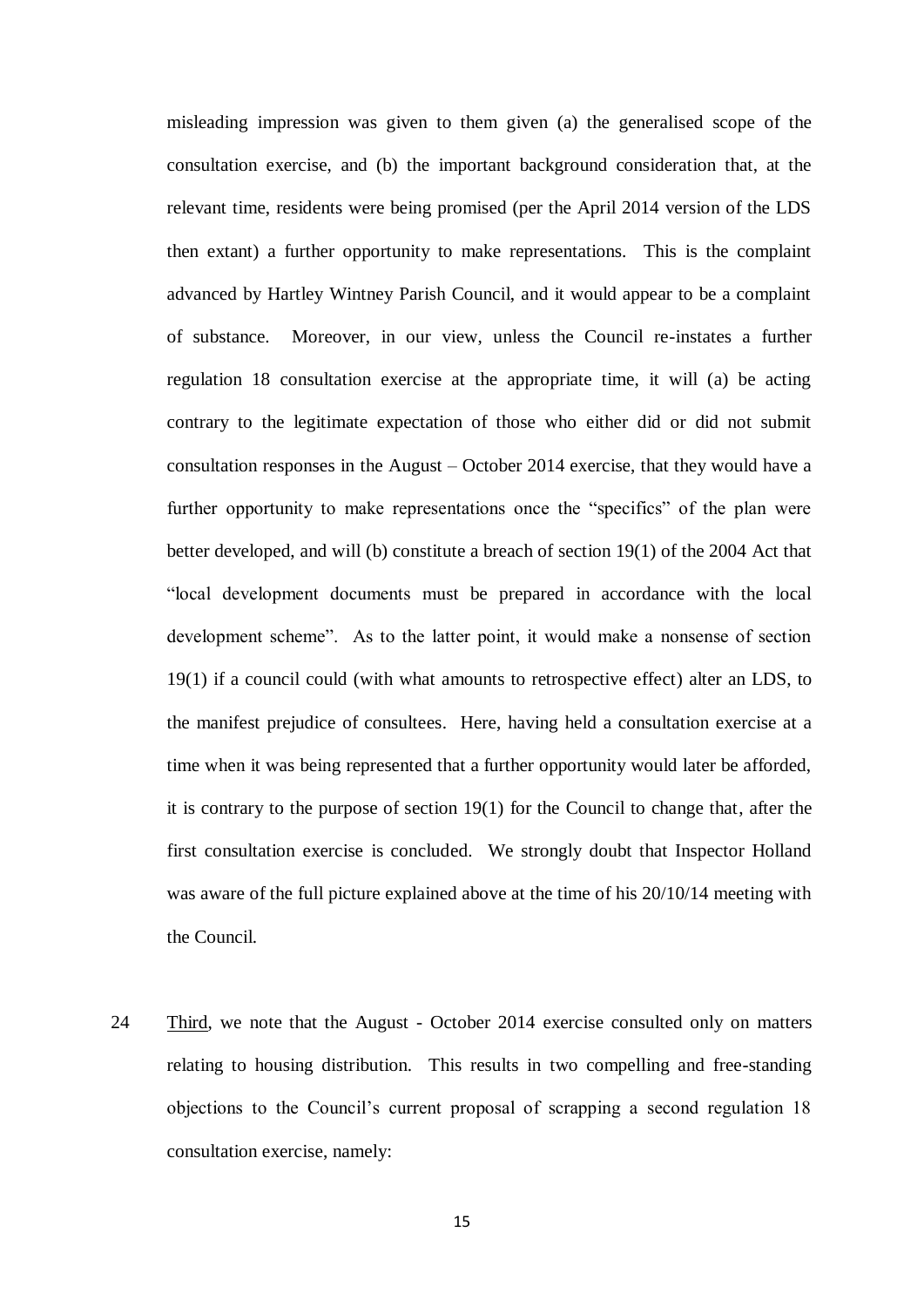misleading impression was given to them given (a) the generalised scope of the consultation exercise, and (b) the important background consideration that, at the relevant time, residents were being promised (per the April 2014 version of the LDS then extant) a further opportunity to make representations. This is the complaint advanced by Hartley Wintney Parish Council, and it would appear to be a complaint of substance. Moreover, in our view, unless the Council re-instates a further regulation 18 consultation exercise at the appropriate time, it will (a) be acting contrary to the legitimate expectation of those who either did or did not submit consultation responses in the August – October 2014 exercise, that they would have a further opportunity to make representations once the "specifics" of the plan were better developed, and will (b) constitute a breach of section 19(1) of the 2004 Act that "local development documents must be prepared in accordance with the local development scheme". As to the latter point, it would make a nonsense of section 19(1) if a council could (with what amounts to retrospective effect) alter an LDS, to the manifest prejudice of consultees. Here, having held a consultation exercise at a time when it was being represented that a further opportunity would later be afforded, it is contrary to the purpose of section 19(1) for the Council to change that, after the first consultation exercise is concluded. We strongly doubt that Inspector Holland was aware of the full picture explained above at the time of his 20/10/14 meeting with the Council.

24 Third, we note that the August - October 2014 exercise consulted only on matters relating to housing distribution. This results in two compelling and free-standing objections to the Council's current proposal of scrapping a second regulation 18 consultation exercise, namely: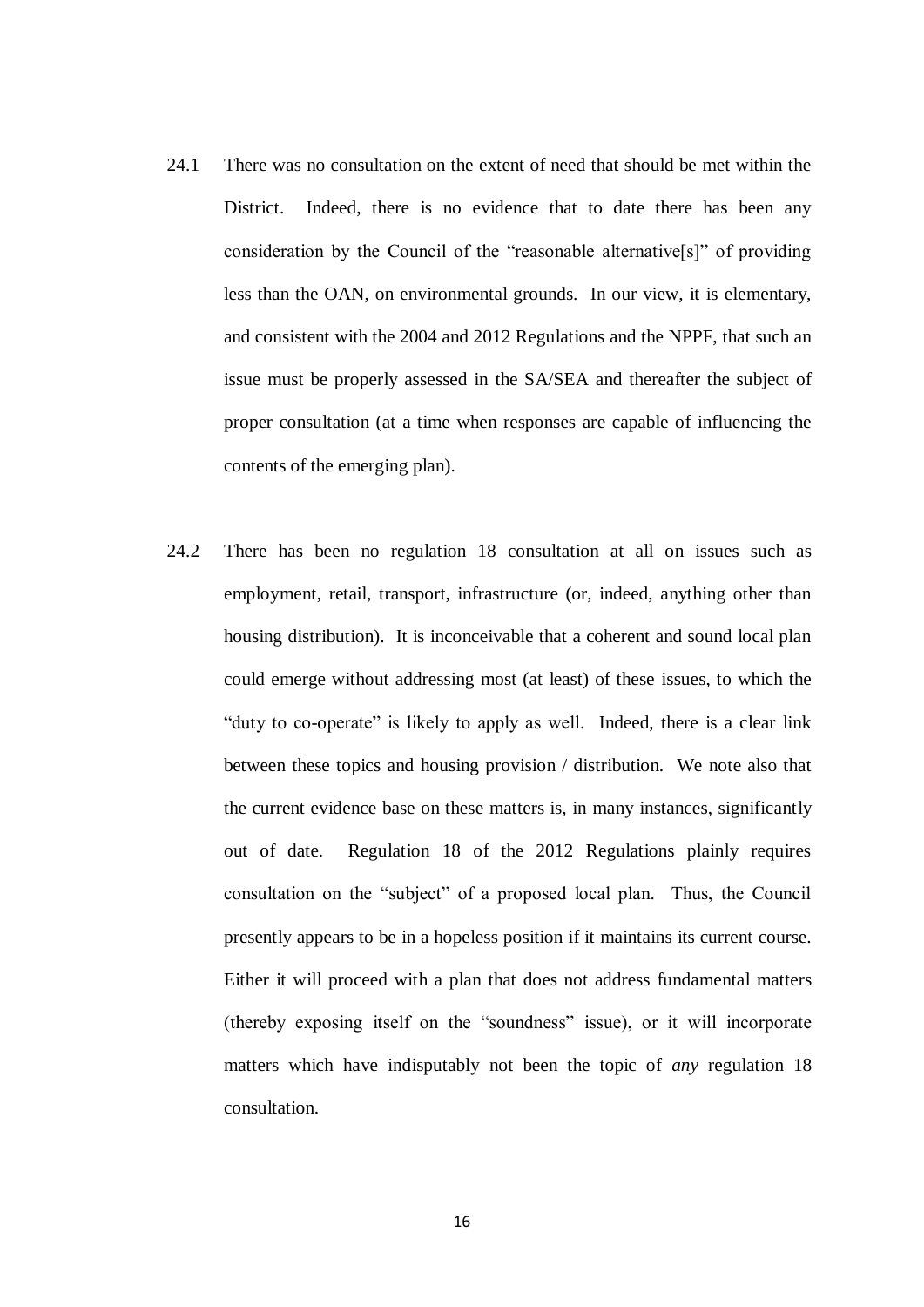- 24.1 There was no consultation on the extent of need that should be met within the District. Indeed, there is no evidence that to date there has been any consideration by the Council of the "reasonable alternative[s]" of providing less than the OAN, on environmental grounds. In our view, it is elementary, and consistent with the 2004 and 2012 Regulations and the NPPF, that such an issue must be properly assessed in the SA/SEA and thereafter the subject of proper consultation (at a time when responses are capable of influencing the contents of the emerging plan).
- 24.2 There has been no regulation 18 consultation at all on issues such as employment, retail, transport, infrastructure (or, indeed, anything other than housing distribution). It is inconceivable that a coherent and sound local plan could emerge without addressing most (at least) of these issues, to which the "duty to co-operate" is likely to apply as well. Indeed, there is a clear link between these topics and housing provision / distribution. We note also that the current evidence base on these matters is, in many instances, significantly out of date. Regulation 18 of the 2012 Regulations plainly requires consultation on the "subject" of a proposed local plan. Thus, the Council presently appears to be in a hopeless position if it maintains its current course. Either it will proceed with a plan that does not address fundamental matters (thereby exposing itself on the "soundness" issue), or it will incorporate matters which have indisputably not been the topic of *any* regulation 18 consultation.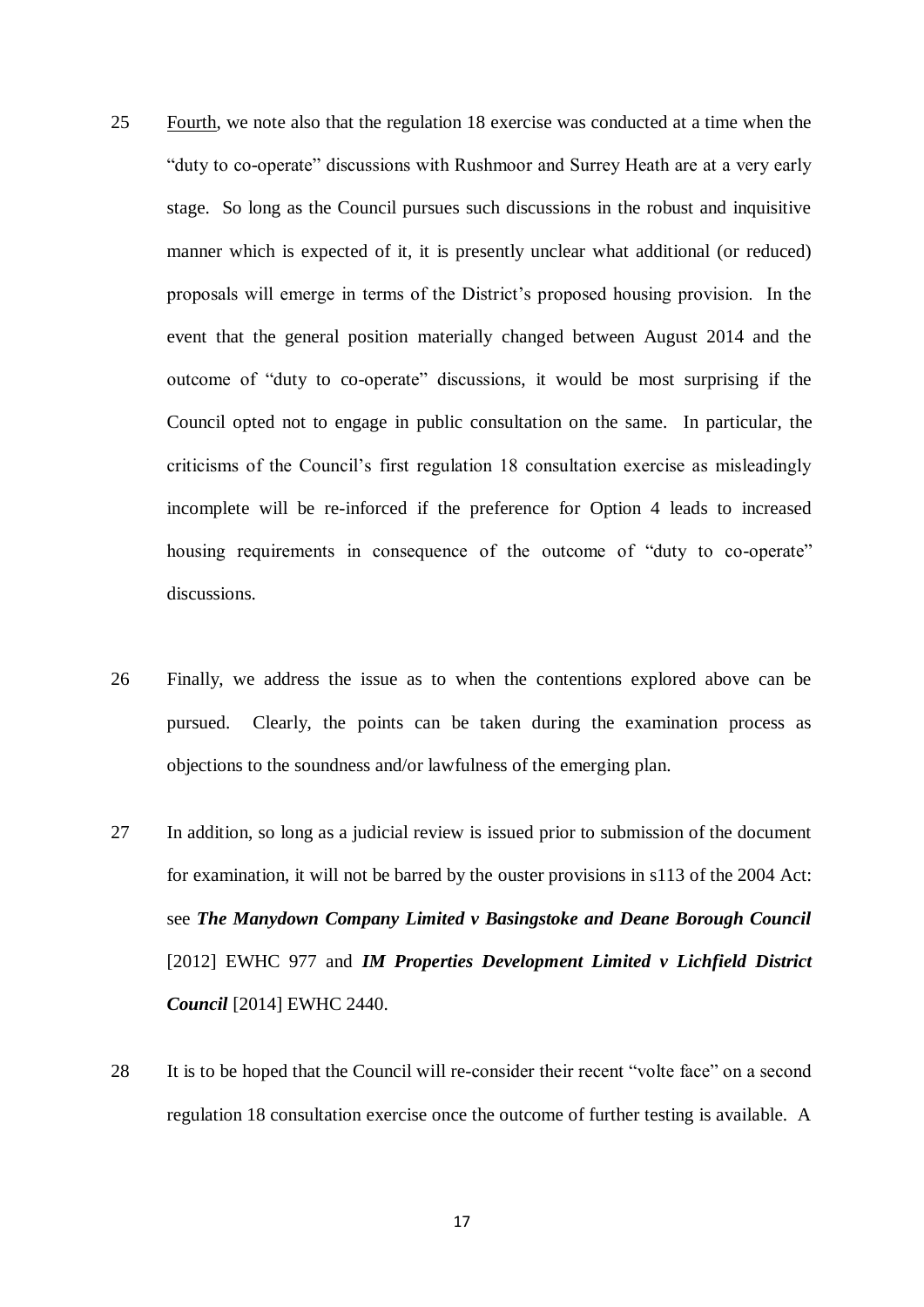- 25 Fourth, we note also that the regulation 18 exercise was conducted at a time when the "duty to co-operate" discussions with Rushmoor and Surrey Heath are at a very early stage. So long as the Council pursues such discussions in the robust and inquisitive manner which is expected of it, it is presently unclear what additional (or reduced) proposals will emerge in terms of the District's proposed housing provision. In the event that the general position materially changed between August 2014 and the outcome of "duty to co-operate" discussions, it would be most surprising if the Council opted not to engage in public consultation on the same. In particular, the criticisms of the Council's first regulation 18 consultation exercise as misleadingly incomplete will be re-inforced if the preference for Option 4 leads to increased housing requirements in consequence of the outcome of "duty to co-operate" discussions.
- 26 Finally, we address the issue as to when the contentions explored above can be pursued. Clearly, the points can be taken during the examination process as objections to the soundness and/or lawfulness of the emerging plan.
- 27 In addition, so long as a judicial review is issued prior to submission of the document for examination, it will not be barred by the ouster provisions in s113 of the 2004 Act: see *The Manydown Company Limited v Basingstoke and Deane Borough Council* [2012] EWHC 977 and *IM Properties Development Limited v Lichfield District Council* [2014] EWHC 2440.
- 28 It is to be hoped that the Council will re-consider their recent "volte face" on a second regulation 18 consultation exercise once the outcome of further testing is available. A